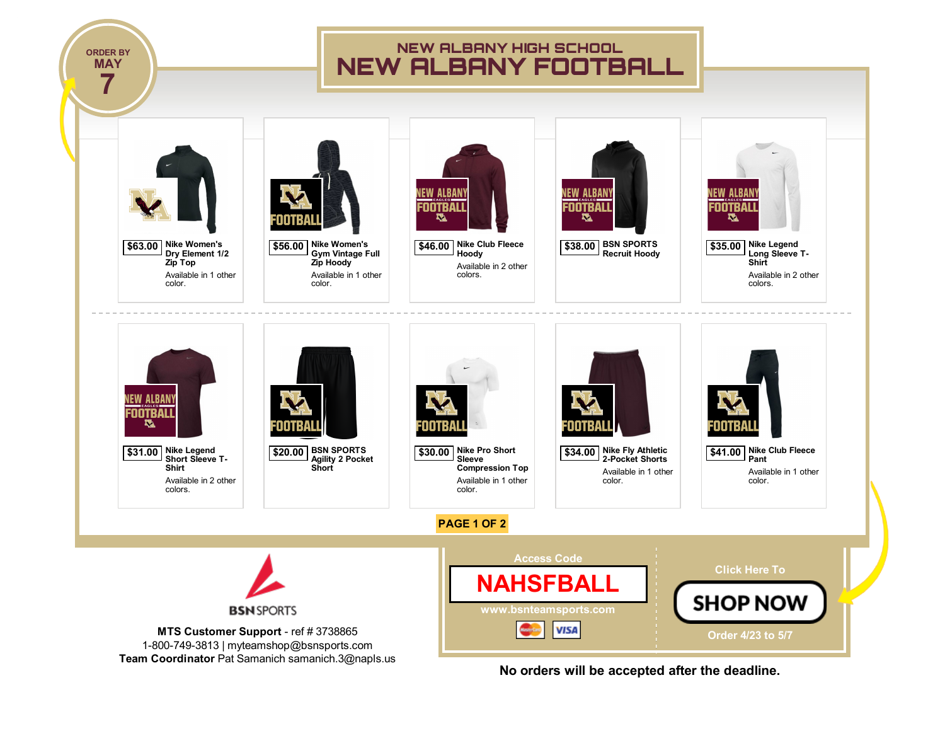